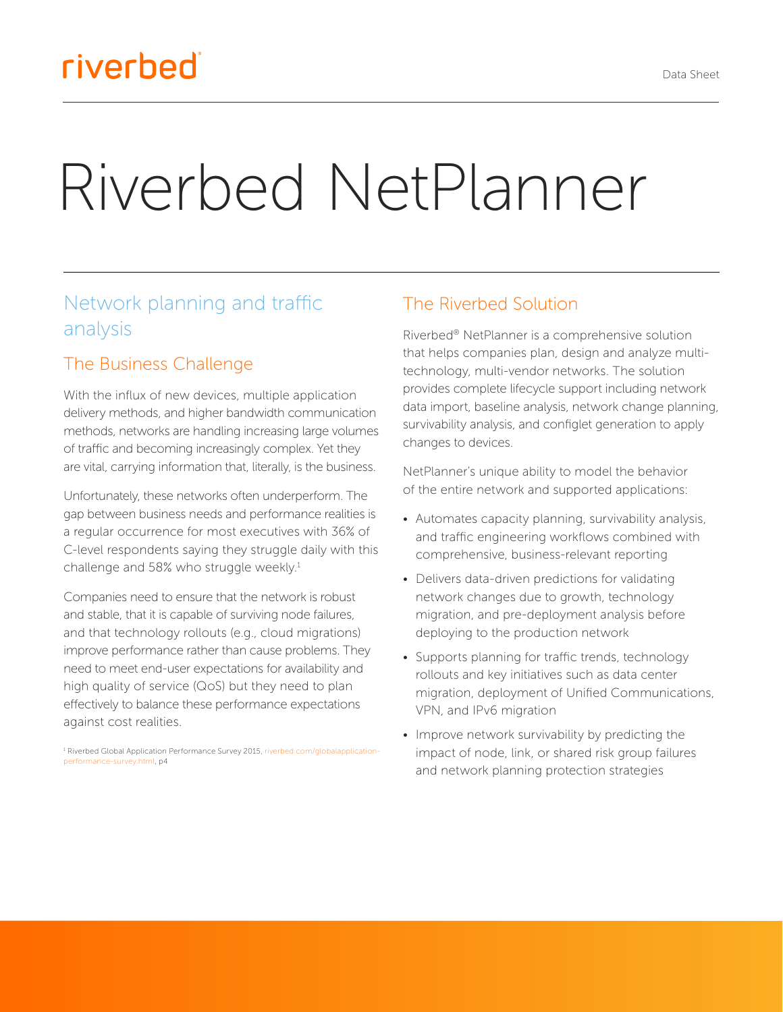# riverbed®

# Riverbed NetPlanner

# Network planning and traffic analysis

## The Business Challenge

With the influx of new devices, multiple application delivery methods, and higher bandwidth communication methods, networks are handling increasing large volumes of traffic and becoming increasingly complex. Yet they are vital, carrying information that, literally, is the business.

Unfortunately, these networks often underperform. The gap between business needs and performance realities is a regular occurrence for most executives with 36% of C-level respondents saying they struggle daily with this challenge and 58% who struggle weekly.<sup>1</sup>

Companies need to ensure that the network is robust and stable, that it is capable of surviving node failures, and that technology rollouts (e.g., cloud migrations) improve performance rather than cause problems. They need to meet end-user expectations for availability and high quality of service (QoS) but they need to plan effectively to balance these performance expectations against cost realities.

<sup>1</sup> Riverbed Global Application Performance Survey 2015, [riverbed.com/globalapplication](https://www.riverbed.com/forms/surveys/digital-performance-global-survey-2018.html)[performance-survey.html](https://www.riverbed.com/forms/surveys/digital-performance-global-survey-2018.html), p4

#### The Riverbed Solution

Riverbed® NetPlanner is a comprehensive solution that helps companies plan, design and analyze multitechnology, multi-vendor networks. The solution provides complete lifecycle support including network data import, baseline analysis, network change planning, survivability analysis, and configlet generation to apply changes to devices.

NetPlanner's unique ability to model the behavior of the entire network and supported applications:

- Automates capacity planning, survivability analysis, and traffic engineering workflows combined with comprehensive, business-relevant reporting
- Delivers data-driven predictions for validating network changes due to growth, technology migration, and pre-deployment analysis before deploying to the production network
- Supports planning for traffic trends, technology rollouts and key initiatives such as data center migration, deployment of Unified Communications, VPN, and IPv6 migration
- Improve network survivability by predicting the impact of node, link, or shared risk group failures and network planning protection strategies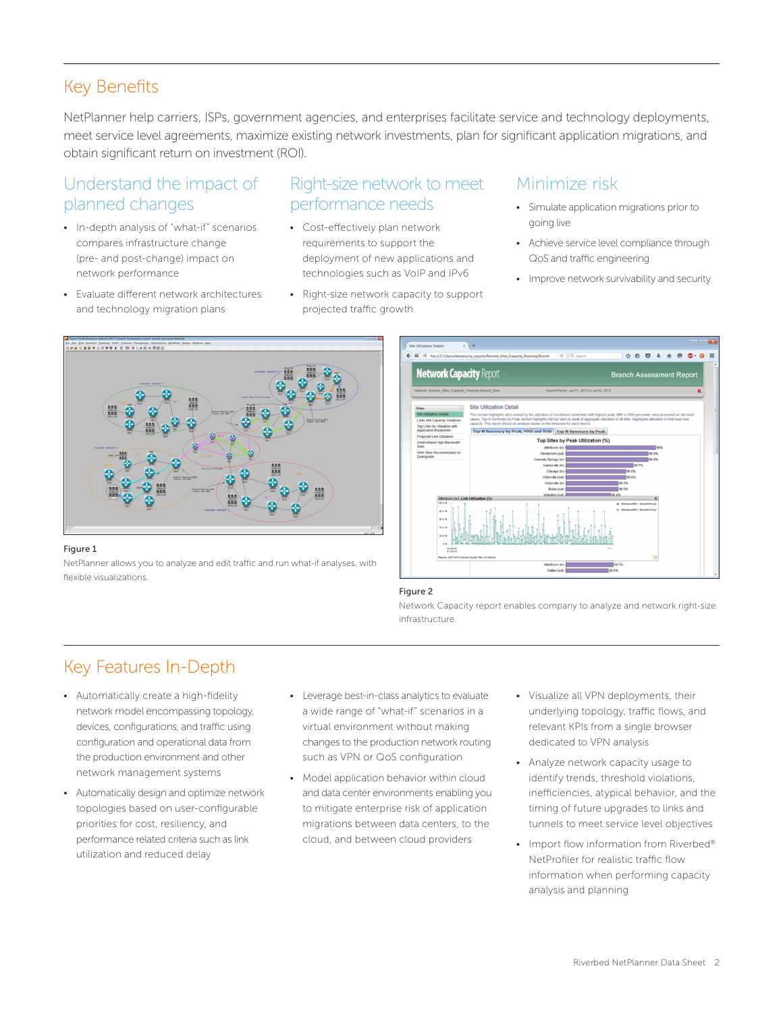#### Key Benefits

NetPlanner help carriers, ISPs, government agencies, and enterprises facilitate service and technology deployments, meet service level agreements, maximize existing network investments, plan for significant application migrations, and obtain significant return on investment (ROI).

#### Understand the impact of planned changes

- In-depth analysis of "what-if" scenarios compares infrastructure change (pre- and post-change) impact on network performance
- Evaluate different network architectures and technology migration plans

#### Right-size network to meet performance needs

- Cost-effectively plan network requirements to support the deployment of new applications and technologies such as VoIP and IPv6
- Right-size network capacity to support projected traffic growth

#### Minimize risk

- Simulate application migrations prior to going live
- Achieve service level compliance through QoS and traffic engineering
- Improve network survivability and security



#### Figure 1

NetPlanner allows you to analyze and edit traffic and run what-if analyses, with flexible visualizations.



#### Figure 2

Network Capacity report enables company to analyze and network right-size infrastructure.

### Key Features In-Depth

- Automatically create a high-fidelity network model encompassing topology, devices, configurations, and traffic using configuration and operational data from the production environment and other network management systems
- Automatically design and optimize network topologies based on user-configurable priorities for cost, resiliency, and performance related criteria such as link utilization and reduced delay
- Leverage best-in-class analytics to evaluate a wide range of "what-if" scenarios in a virtual environment without making changes to the production network routing such as VPN or QoS configuration
- Model application behavior within cloud and data center environments enabling you to mitigate enterprise risk of application migrations between data centers, to the cloud, and between cloud providers
- Visualize all VPN deployments, their underlying topology, traffic flows, and relevant KPIs from a single browser dedicated to VPN analysis
- Analyze network capacity usage to identify trends, threshold violations, inefficiencies, atypical behavior, and the timing of future upgrades to links and tunnels to meet service level objectives
- Import flow information from Riverbed® NetProfiler for realistic traffic flow information when performing capacity analysis and planning